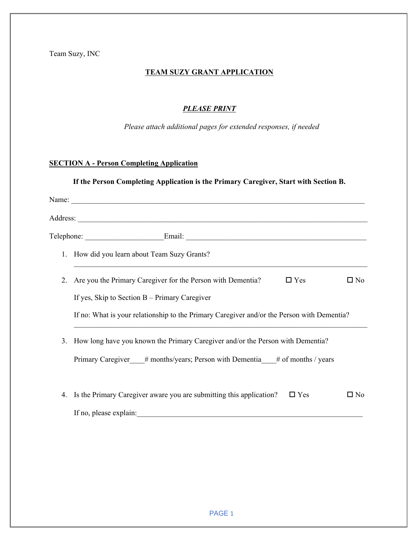Team Suzy, INC

### **TEAM SUZY GRANT APPLICATION**

#### *PLEASE PRINT*

*Please attach additional pages for extended responses, if needed*

## **SECTION A - Person Completing Application**

## **If the Person Completing Application is the Primary Caregiver, Start with Section B.**

|                | 1. How did you learn about Team Suzy Grants?                                                      |
|----------------|---------------------------------------------------------------------------------------------------|
| 2.             | $\Box$ Yes<br>$\square$ No<br>Are you the Primary Caregiver for the Person with Dementia?         |
|                | If yes, Skip to Section $B -$ Primary Caregiver                                                   |
|                | If no: What is your relationship to the Primary Caregiver and/or the Person with Dementia?        |
| 3 <sub>1</sub> | How long have you known the Primary Caregiver and/or the Person with Dementia?                    |
|                | Primary Caregiver # months/years; Person with Dementia # of months / years                        |
| 4.             | Is the Primary Caregiver aware you are submitting this application?<br>$\Box$ Yes<br>$\square$ No |
|                |                                                                                                   |
|                |                                                                                                   |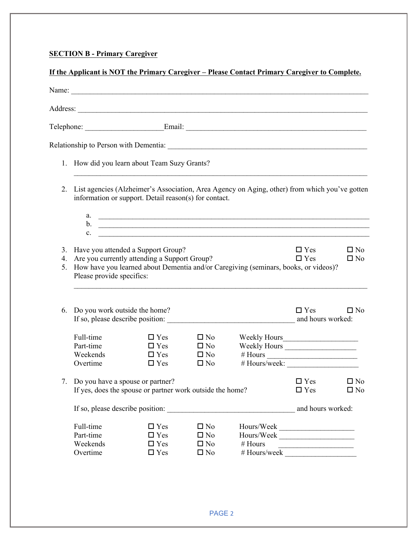# **SECTION B - Primary Caregiver**

|                      |                                  |                                                           |                              | Address: <u>Address:</u>                                                                      |                                 |                              |
|----------------------|----------------------------------|-----------------------------------------------------------|------------------------------|-----------------------------------------------------------------------------------------------|---------------------------------|------------------------------|
|                      |                                  |                                                           |                              |                                                                                               |                                 |                              |
|                      |                                  |                                                           |                              |                                                                                               |                                 |                              |
|                      |                                  | 1. How did you learn about Team Suzy Grants?              |                              |                                                                                               |                                 |                              |
| 2.                   |                                  | information or support. Detail reason(s) for contact.     |                              | List agencies (Alzheimer's Association, Area Agency on Aging, other) from which you've gotten |                                 |                              |
|                      | $\mathbf{c}$ .                   |                                                           |                              | <u>b.</u>                                                                                     |                                 |                              |
|                      |                                  | 3. Have you attended a Support Group?                     |                              |                                                                                               | $\Box$ Yes                      | $\square$ No                 |
| 4.<br>5 <sub>1</sub> | Please provide specifics:        | Are you currently attending a Support Group?              |                              | How have you learned about Dementia and/or Caregiving (seminars, books, or videos)?           | $\Box$ Yes                      | $\square$ No                 |
| 6.                   | Do you work outside the home?    |                                                           |                              |                                                                                               | $\Box$ Yes<br>and hours worked: | $\square$ No                 |
|                      | Full-time                        | $\Box$ Yes                                                | $\square$ No                 |                                                                                               |                                 |                              |
|                      | Part-time<br>Weekends            | $\Box$ Yes<br>$\Box$ Yes                                  | $\square$ No<br>$\square$ No | Weekly Hours                                                                                  |                                 |                              |
|                      | Overtime                         | $\Box$ Yes                                                | $\square$ No                 |                                                                                               |                                 |                              |
| 7.                   | Do you have a spouse or partner? | If yes, does the spouse or partner work outside the home? |                              |                                                                                               | $\square$ Yes<br>$\Box$ Yes     | $\square$ No<br>$\square$ No |
|                      |                                  |                                                           |                              |                                                                                               | and hours worked:               |                              |
|                      |                                  |                                                           |                              |                                                                                               |                                 |                              |
|                      | Full-time                        | $\Box$ Yes                                                | $\square$ No                 |                                                                                               |                                 |                              |
|                      | Part-time<br>Weekends            | $\Box$ Yes<br>$\square$ Yes                               | $\square$ No<br>$\square$ No | Hours/Weak<br>Hours/Week<br># Hours                                                           |                                 |                              |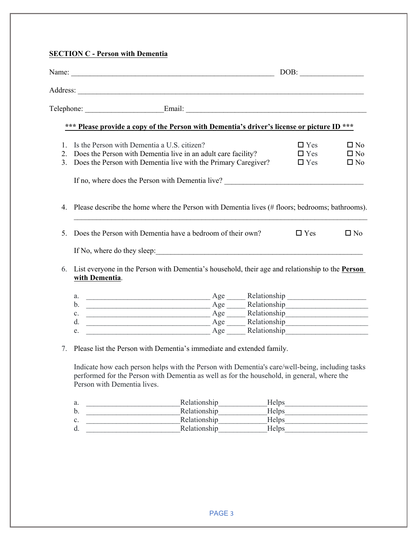|                                  | Name: <u>DOB:</u> DOB:                                                                                                                                                                                                                                                                                                                                                                                                                                                               |              |       |                                                                                                                                                                                                                                |                                              |
|----------------------------------|--------------------------------------------------------------------------------------------------------------------------------------------------------------------------------------------------------------------------------------------------------------------------------------------------------------------------------------------------------------------------------------------------------------------------------------------------------------------------------------|--------------|-------|--------------------------------------------------------------------------------------------------------------------------------------------------------------------------------------------------------------------------------|----------------------------------------------|
|                                  |                                                                                                                                                                                                                                                                                                                                                                                                                                                                                      |              |       |                                                                                                                                                                                                                                |                                              |
|                                  |                                                                                                                                                                                                                                                                                                                                                                                                                                                                                      |              |       |                                                                                                                                                                                                                                |                                              |
|                                  | *** Please provide a copy of the Person with Dementia's driver's license or picture ID ***                                                                                                                                                                                                                                                                                                                                                                                           |              |       |                                                                                                                                                                                                                                |                                              |
| 2.<br>3 <sub>1</sub>             | 1. Is the Person with Dementia a U.S. citizen?<br>Does the Person with Dementia live in an adult care facility?<br>Does the Person with Dementia live with the Primary Caregiver?                                                                                                                                                                                                                                                                                                    |              |       | $\Box$ Yes<br>$\Box$ Yes<br>$\Box$ Yes                                                                                                                                                                                         | $\square$ No<br>$\square$ No<br>$\square$ No |
|                                  | If no, where does the Person with Dementia live?<br><u>Letting</u>                                                                                                                                                                                                                                                                                                                                                                                                                   |              |       |                                                                                                                                                                                                                                |                                              |
| 4.                               | Please describe the home where the Person with Dementia lives (# floors; bedrooms; bathrooms).                                                                                                                                                                                                                                                                                                                                                                                       |              |       |                                                                                                                                                                                                                                |                                              |
| 5.                               | Does the Person with Dementia have a bedroom of their own?                                                                                                                                                                                                                                                                                                                                                                                                                           |              |       | $\Box$ Yes                                                                                                                                                                                                                     | $\square$ No                                 |
|                                  | If No, where do they sleep:                                                                                                                                                                                                                                                                                                                                                                                                                                                          |              |       |                                                                                                                                                                                                                                |                                              |
| 6.                               | List everyone in the Person with Dementia's household, their age and relationship to the Person<br>with Dementia.                                                                                                                                                                                                                                                                                                                                                                    |              |       |                                                                                                                                                                                                                                |                                              |
|                                  | a.                                                                                                                                                                                                                                                                                                                                                                                                                                                                                   |              |       |                                                                                                                                                                                                                                |                                              |
|                                  | Age Relationship<br>Age Relationship<br>Age Relationship<br>Relationship<br>$b_{\cdot}$                                                                                                                                                                                                                                                                                                                                                                                              |              |       |                                                                                                                                                                                                                                |                                              |
|                                  | $\mathbf{c}$ .                                                                                                                                                                                                                                                                                                                                                                                                                                                                       |              |       |                                                                                                                                                                                                                                |                                              |
|                                  | Age Relationship<br>$d_{\cdot}$                                                                                                                                                                                                                                                                                                                                                                                                                                                      |              |       |                                                                                                                                                                                                                                |                                              |
|                                  | e.                                                                                                                                                                                                                                                                                                                                                                                                                                                                                   |              |       |                                                                                                                                                                                                                                |                                              |
| $7_{\scriptscriptstyle{\ddots}}$ | Please list the Person with Dementia's immediate and extended family.                                                                                                                                                                                                                                                                                                                                                                                                                |              |       |                                                                                                                                                                                                                                |                                              |
|                                  | Indicate how each person helps with the Person with Dementia's care/well-being, including tasks<br>performed for the Person with Dementia as well as for the household, in general, where the<br>Person with Dementia lives.                                                                                                                                                                                                                                                         |              |       |                                                                                                                                                                                                                                |                                              |
|                                  | a.                                                                                                                                                                                                                                                                                                                                                                                                                                                                                   | Relationship | Helps |                                                                                                                                                                                                                                |                                              |
|                                  | $\begin{tabular}{lcccccc} \multicolumn{2}{c}{\textbf{1} & \textbf{2} & \textbf{3} & \textbf{4} & \textbf{5} & \textbf{5} & \textbf{6} & \textbf{7} & \textbf{8} & \textbf{9} & \textbf{10} & \textbf{10} & \textbf{10} & \textbf{10} & \textbf{10} & \textbf{10} & \textbf{10} & \textbf{10} & \textbf{10} & \textbf{10} & \textbf{10} & \textbf{10} & \textbf{10} & \textbf{10} & \textbf{10} & \textbf{10} & \textbf$<br>$\mathbf{b}$ .<br><u> 1980 - Johann Barbara, martin d</u> | Relationship |       | Helps and the same state of the state of the state of the state of the state of the state of the state of the state of the state of the state of the state of the state of the state of the state of the state of the state of |                                              |
|                                  | c.                                                                                                                                                                                                                                                                                                                                                                                                                                                                                   | Relationship | Helps |                                                                                                                                                                                                                                |                                              |
|                                  |                                                                                                                                                                                                                                                                                                                                                                                                                                                                                      |              |       |                                                                                                                                                                                                                                |                                              |

d. \_\_\_\_\_\_\_\_\_\_\_\_\_\_\_\_\_\_\_\_\_\_\_\_\_Relationship\_\_\_\_\_\_\_\_\_\_\_\_\_Helps\_\_\_\_\_\_\_\_\_\_\_\_\_\_\_\_\_\_\_\_\_\_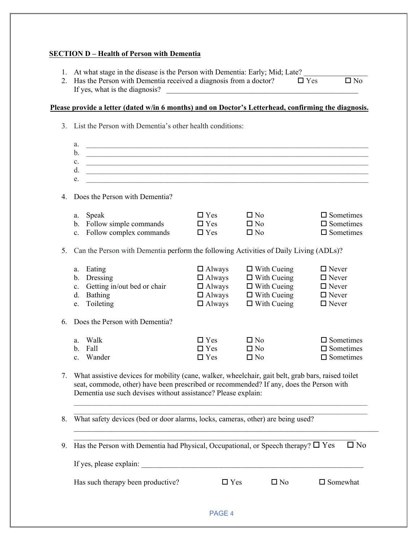## **SECTION D – Health of Person with Dementia**

- 1. At what stage in the disease is the Person with Dementia: Early; Mid; Late? 2. Has the Person with Dementia received a diagnosis from a doctor?  $\Box$  Yes  $\Box$  No
- If yes, what is the diagnosis?

## **Please provide a letter (dated w/in 6 months) and on Doctor's Letterhead, confirming the diagnosis.**

| a.<br>b <sub>1</sub><br>c.<br>d.                                                               |                                                                                   |                                                                                                            |                                                                                                                                                                                                                                                                                                                                                                                                                                                                                                                                                                                                                                                                                                                                                                                                                                                                                                                                                                                                                                                                                                                                                                                                                                                                                                                                                                     |
|------------------------------------------------------------------------------------------------|-----------------------------------------------------------------------------------|------------------------------------------------------------------------------------------------------------|---------------------------------------------------------------------------------------------------------------------------------------------------------------------------------------------------------------------------------------------------------------------------------------------------------------------------------------------------------------------------------------------------------------------------------------------------------------------------------------------------------------------------------------------------------------------------------------------------------------------------------------------------------------------------------------------------------------------------------------------------------------------------------------------------------------------------------------------------------------------------------------------------------------------------------------------------------------------------------------------------------------------------------------------------------------------------------------------------------------------------------------------------------------------------------------------------------------------------------------------------------------------------------------------------------------------------------------------------------------------|
| Does the Person with Dementia?                                                                 |                                                                                   |                                                                                                            |                                                                                                                                                                                                                                                                                                                                                                                                                                                                                                                                                                                                                                                                                                                                                                                                                                                                                                                                                                                                                                                                                                                                                                                                                                                                                                                                                                     |
| a. Speak<br>b. Follow simple commands<br>c. Follow complex commands                            | $\Box$ Yes<br>$\Box$ Yes<br>$\Box$ Yes                                            | $\square$ No<br>$\square$ No<br>$\square$ No                                                               | $\square$ Sometimes<br>$\square$ Sometimes<br>$\square$ Sometimes                                                                                                                                                                                                                                                                                                                                                                                                                                                                                                                                                                                                                                                                                                                                                                                                                                                                                                                                                                                                                                                                                                                                                                                                                                                                                                   |
|                                                                                                |                                                                                   |                                                                                                            |                                                                                                                                                                                                                                                                                                                                                                                                                                                                                                                                                                                                                                                                                                                                                                                                                                                                                                                                                                                                                                                                                                                                                                                                                                                                                                                                                                     |
| a. Eating<br>b. Dressing<br>c. Getting in/out bed or chair<br>Bathing<br>d.<br>Toileting<br>e. | $\Box$ Always<br>$\Box$ Always<br>$\Box$ Always<br>$\Box$ Always<br>$\Box$ Always | $\Box$ With Cueing<br>$\Box$ With Cueing<br>$\Box$ With Cueing<br>$\Box$ With Cueing<br>$\Box$ With Cueing | $\Box$ Never<br>$\Box$ Never<br>$\Box$ Never<br>$\Box$ Never<br>$\Box$ Never                                                                                                                                                                                                                                                                                                                                                                                                                                                                                                                                                                                                                                                                                                                                                                                                                                                                                                                                                                                                                                                                                                                                                                                                                                                                                        |
| Does the Person with Dementia?                                                                 |                                                                                   |                                                                                                            |                                                                                                                                                                                                                                                                                                                                                                                                                                                                                                                                                                                                                                                                                                                                                                                                                                                                                                                                                                                                                                                                                                                                                                                                                                                                                                                                                                     |
| a. Walk<br>b. Fall<br>Wander<br>$c_{-}$                                                        | $\Box$ Yes<br>$\Box$ Yes<br>$\Box$ Yes                                            | $\square$ No<br>$\square$ No<br>$\square$ No                                                               | $\square$ Sometimes<br>$\square$ Sometimes<br>$\square$ Sometimes                                                                                                                                                                                                                                                                                                                                                                                                                                                                                                                                                                                                                                                                                                                                                                                                                                                                                                                                                                                                                                                                                                                                                                                                                                                                                                   |
|                                                                                                |                                                                                   |                                                                                                            |                                                                                                                                                                                                                                                                                                                                                                                                                                                                                                                                                                                                                                                                                                                                                                                                                                                                                                                                                                                                                                                                                                                                                                                                                                                                                                                                                                     |
|                                                                                                |                                                                                   |                                                                                                            |                                                                                                                                                                                                                                                                                                                                                                                                                                                                                                                                                                                                                                                                                                                                                                                                                                                                                                                                                                                                                                                                                                                                                                                                                                                                                                                                                                     |
|                                                                                                |                                                                                   |                                                                                                            | $\square$ No                                                                                                                                                                                                                                                                                                                                                                                                                                                                                                                                                                                                                                                                                                                                                                                                                                                                                                                                                                                                                                                                                                                                                                                                                                                                                                                                                        |
|                                                                                                |                                                                                   |                                                                                                            |                                                                                                                                                                                                                                                                                                                                                                                                                                                                                                                                                                                                                                                                                                                                                                                                                                                                                                                                                                                                                                                                                                                                                                                                                                                                                                                                                                     |
| Has such therapy been productive?                                                              |                                                                                   | $\square$ No                                                                                               | $\square$ Somewhat                                                                                                                                                                                                                                                                                                                                                                                                                                                                                                                                                                                                                                                                                                                                                                                                                                                                                                                                                                                                                                                                                                                                                                                                                                                                                                                                                  |
|                                                                                                | PAGE 4                                                                            |                                                                                                            |                                                                                                                                                                                                                                                                                                                                                                                                                                                                                                                                                                                                                                                                                                                                                                                                                                                                                                                                                                                                                                                                                                                                                                                                                                                                                                                                                                     |
| 3.<br>4.                                                                                       | e.                                                                                |                                                                                                            | List the Person with Dementia's other health conditions:<br><u> 1999 - Johann John Harry, mars and deutscher Stadt and de Barbara (1999) er der der Stadt andere Stadt ander</u><br><u> 1989 - Johann Stoff, deutscher Stoffen und der Stoffen und der Stoffen und der Stoffen und der Stoffen und der Stoffen und der Stoffen und der Stoffen und der Stoffen und der Stoffen und der Stoffen und der Stoffen und d</u><br><u> 1989 - Johann John Harry Harry Harry Harry Harry Harry Harry Harry Harry Harry Harry Harry Harry Harry Harry</u><br><u> 1989 - Johann Stoff, deutscher Stoffen und der Stoffen und der Stoffen und der Stoffen und der Stoffen und der</u><br><u> 1989 - Johann Stoff, deutscher Stoffen und der Stoffen und der Stoffen und der Stoffen und der Stoffen und der</u><br>Can the Person with Dementia perform the following Activities of Daily Living (ADLs)?<br>7. What assistive devices for mobility (cane, walker, wheelchair, gait belt, grab bars, raised toilet<br>seat, commode, other) have been prescribed or recommended? If any, does the Person with<br>Dementia use such devises without assistance? Please explain:<br>8. What safety devices (bed or door alarms, locks, cameras, other) are being used?<br>Has the Person with Dementia had Physical, Occupational, or Speech therapy? $\square$ Yes<br>$\Box$ Yes |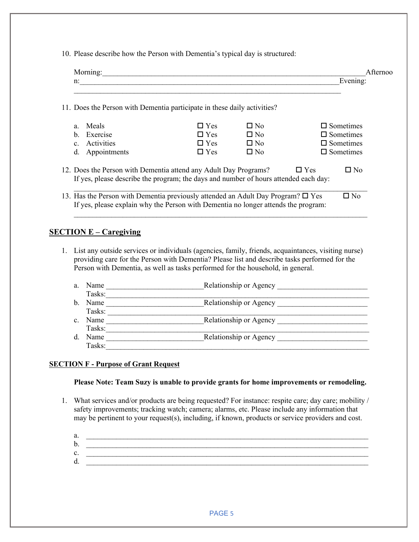10. Please describe how the Person with Dementia's typical day is structured:

| 11. Does the Person with Dementia participate in these daily activities?                                                                                                                                                                                                                                                                   |               |              |                                      |
|--------------------------------------------------------------------------------------------------------------------------------------------------------------------------------------------------------------------------------------------------------------------------------------------------------------------------------------------|---------------|--------------|--------------------------------------|
| Meals                                                                                                                                                                                                                                                                                                                                      | $\square$ Yes | $\Box$ No    | $\Box$ Sometimes                     |
| Exercise                                                                                                                                                                                                                                                                                                                                   | $\Box$ Yes    | $\square$ No | $\square$ Sometimes                  |
| Activities                                                                                                                                                                                                                                                                                                                                 | $\Box$ Yes    | $\square$ No | $\square$ Sometimes                  |
| Appointments                                                                                                                                                                                                                                                                                                                               | $\Box$ Yes    | $\square$ No | $\square$ Sometimes                  |
| 12. Does the Person with Dementia attend any Adult Day Programs?<br>If yes, please describe the program; the days and number of hours attended each day:<br>13. Has the Person with Dementia previously attended an Adult Day Program? $\square$ Yes<br>If yes, please explain why the Person with Dementia no longer attends the program: |               |              | $\Box$ Yes<br>$\Box$ No<br>$\Box$ No |

- 1. List any outside services or individuals (agencies, family, friends, acquaintances, visiting nurse) providing care for the Person with Dementia? Please list and describe tasks performed for the Person with Dementia, as well as tasks performed for the household, in general.
	- a. Name \_\_\_\_\_\_\_\_\_\_\_\_\_\_\_\_\_\_\_\_\_\_\_\_\_\_Relationship or Agency \_\_\_\_\_\_\_\_\_\_\_\_\_\_\_\_\_\_\_\_\_\_\_\_ Tasks:\_\_\_\_\_\_\_\_\_\_\_\_\_\_\_\_\_\_\_\_\_\_\_\_\_\_\_\_\_\_\_\_\_\_\_\_\_\_\_\_\_\_\_\_\_\_\_\_\_\_\_\_\_\_\_\_\_\_\_\_\_\_\_\_\_\_\_\_\_\_ b. Name \_\_\_\_\_\_\_\_\_\_\_\_\_\_\_\_\_\_\_\_\_\_\_\_\_\_Relationship or Agency \_\_\_\_\_\_\_\_\_\_\_\_\_\_\_\_\_\_\_\_\_\_\_\_ Tasks: c. Name Relationship or Agency  $\Box$ Tasks: Tasks: Tasks: Tasks: Relationship or Agency Tasks: Tasks: Tasks: Tasks: Tasks: Tasks: Tasks: Tasks: Tasks: Tasks: Tasks: Tasks: Tasks: Tasks: Tasks: Tasks: Tasks: Tasks: Tasks: Tasks: Tasks: Tasks: Tasks: Tasks: Tasks: Tas Tasks:

#### **SECTION F - Purpose of Grant Request**

#### **Please Note: Team Suzy is unable to provide grants for home improvements or remodeling.**

- 1. What services and/or products are being requested? For instance: respite care; day care; mobility / safety improvements; tracking watch; camera; alarms, etc. Please include any information that may be pertinent to your request(s), including, if known, products or service providers and cost.
	- a. \_\_\_\_\_\_\_\_\_\_\_\_\_\_\_\_\_\_\_\_\_\_\_\_\_\_\_\_\_\_\_\_\_\_\_\_\_\_\_\_\_\_\_\_\_\_\_\_\_\_\_\_\_\_\_\_\_\_\_\_\_\_\_\_\_\_\_\_\_\_\_\_\_\_\_ b.  $c.$  $d.$